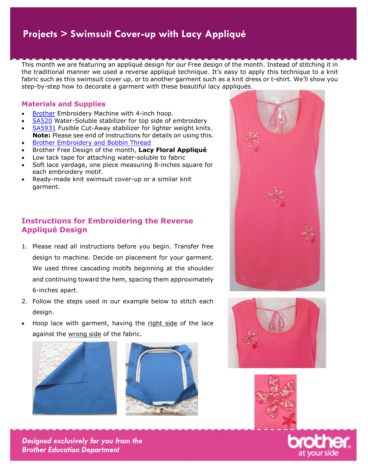## **Projects Projects > Swimsuit Cover-up with Lacy Appliqué**

This month we are featuring an appliqué design for our Free design of the month. Instead of stitching it in the traditional manner we used a reverse appliqué technique. It's easy to apply this technique to a knit fabric such as this swimsuit cover up, or to another garment such as a knit dress or t-shirt. We'll show you step-by-step how to decorate a garment with these beautiful lacy appliqués.

#### **Materials and Supplies**

- [Brother](http://www.brother-usa.com/homesewing/Products.aspx) Embroidery Machine with 4-inch hoop.
- [SA520](http://www.brother-usa.com/Homesewing/accessories/AccessoryDetail.aspx?R3AccessoryID=SA520#.VYGQvGAscRk) Water-Soluble stabilizer for top side of embroidery
- [SA5931](http://www.brother-usa.com/Homesewing/accessories/AccessoryDetail.aspx?R3AccessoryID=SA5931#.VYGRLmAscRk) Fusible Cut-Away stabilizer for lighter weight knits. **Note:** Please see end of instructions for details on using this.
- [Brother Embroidery and Bobbin Thread](http://www.brother-usa.com/Homesewing/Accessories/AccessoryList.aspx?ACASCID=61&CatID=10#.VTHLZc5CQRk)
- Brother Free Design of the month, **Lacy Floral Appliqué**
- Low tack tape for attaching water-soluble to fabric
- Soft lace yardage, one piece measuring 8-inches square for each embroidery motif.
- Ready-made knit swimsuit cover-up or a similar knit garment.

# **Instructions for Embroidering the Reverse Appliqué Design**

- 1. Please read all instructions before you begin. Transfer free design to machine. Decide on placement for your garment. We used three cascading motifs beginning at the shoulder and continuing toward the hem, spacing them approximately 6-inches apart.
- 2. Follow the steps used in our example below to stitch each design.
- Hoop lace with garment, having the right side of the lace against the wrong side of the fabric.

 $\mathbf{r}$ 













*Designed exclusively for you from the Brother Education Department*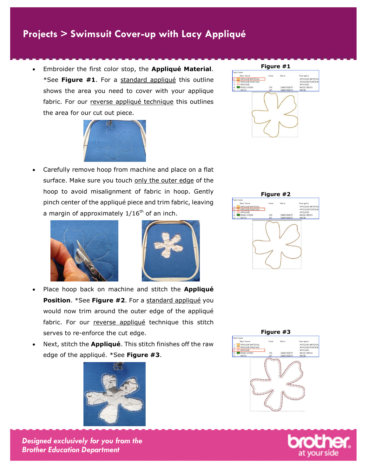## **Projects Projects > Swimsuit Cover-up with Lacy Appliqué**

 Embroider the first color stop, the **Appliqué Material**. \*See **Figure #1**. For a standard appliqué this outline shows the area you need to cover with your applique fabric. For our reverse appliqué technique this outlines the area for our cut out piece.



 Carefully remove hoop from machine and place on a flat surface. Make sure you touch only the outer edge of the hoop to avoid misalignment of fabric in hoop. Gently pinch center of the appliqué piece and trim fabric, leaving a margin of approximately  $1/16^{th}$  of an inch.





- Place hoop back on machine and stitch the **Appliqué Position.** \*See Figure #2. For a standard appliqué you would now trim around the outer edge of the appliqué fabric. For our reverse appliqué technique this stitch serves to re-enforce the cut edge.
- Next, stitch the **Appliqué**. This stitch finishes off the raw edge of the appliqué. \*See **Figure #3**.











*Designed exclusively for you from the Brother Education Department*